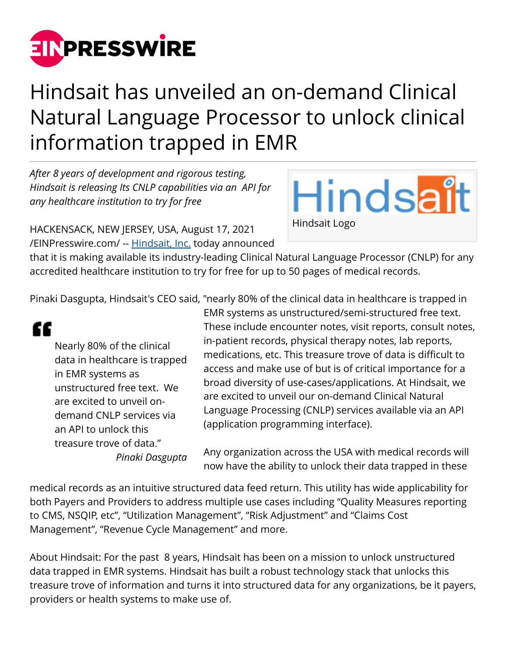

## Hindsait has unveiled an on-demand Clinical Natural Language Processor to unlock clinical information trapped in EMR

*After 8 years of development and rigorous testing, Hindsait is releasing Its CNLP capabilities via an API for any healthcare institution to try for free*

Hindsait Hindsait Logo

HACKENSACK, NEW JERSEY, USA, August 17, 2021 [/EINPresswire.com/](http://www.einpresswire.com) -- [Hindsait, Inc.](https://hindsait.com/) today announced

that it is making available its industry-leading Clinical Natural Language Processor (CNLP) for any accredited healthcare institution to try for free for up to 50 pages of medical records.

Pinaki Dasgupta, Hindsait's CEO said, "nearly 80% of the clinical data in healthcare is trapped in



Nearly 80% of the clinical data in healthcare is trapped in EMR systems as unstructured free text. We are excited to unveil ondemand CNLP services via an API to unlock this treasure trove of data." *Pinaki Dasgupta* EMR systems as unstructured/semi-structured free text. These include encounter notes, visit reports, consult notes, in-patient records, physical therapy notes, lab reports, medications, etc. This treasure trove of data is difficult to access and make use of but is of critical importance for a broad diversity of use-cases/applications. At Hindsait, we are excited to unveil our on-demand Clinical Natural Language Processing (CNLP) services available via an API (application programming interface).

Any organization across the USA with medical records will now have the ability to unlock their data trapped in these

medical records as an intuitive structured data feed return. This utility has wide applicability for both Payers and Providers to address multiple use cases including "Quality Measures reporting to CMS, NSQIP, etc", "Utilization Management", "Risk Adjustment" and "Claims Cost Management", "Revenue Cycle Management" and more.

About Hindsait: For the past 8 years, Hindsait has been on a mission to unlock unstructured data trapped in EMR systems. Hindsait has built a robust technology stack that unlocks this treasure trove of information and turns it into structured data for any organizations, be it payers, providers or health systems to make use of.